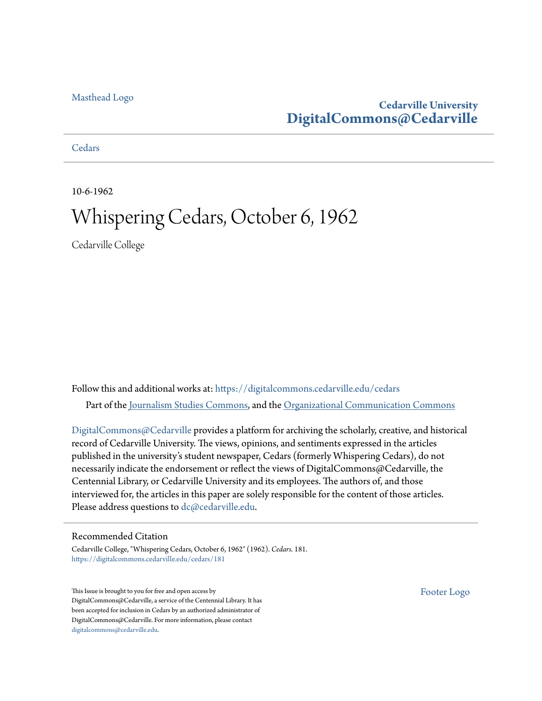#### [Masthead Logo](http://www.cedarville.edu/?utm_source=digitalcommons.cedarville.edu%2Fcedars%2F181&utm_medium=PDF&utm_campaign=PDFCoverPages)

#### **Cedarville University [DigitalCommons@Cedarville](https://digitalcommons.cedarville.edu?utm_source=digitalcommons.cedarville.edu%2Fcedars%2F181&utm_medium=PDF&utm_campaign=PDFCoverPages)**

**[Cedars](https://digitalcommons.cedarville.edu/cedars?utm_source=digitalcommons.cedarville.edu%2Fcedars%2F181&utm_medium=PDF&utm_campaign=PDFCoverPages)** 

10-6-1962

### Whispering Cedars, October 6, 1962

Cedarville College

Follow this and additional works at: [https://digitalcommons.cedarville.edu/cedars](https://digitalcommons.cedarville.edu/cedars?utm_source=digitalcommons.cedarville.edu%2Fcedars%2F181&utm_medium=PDF&utm_campaign=PDFCoverPages) Part of the [Journalism Studies Commons](http://network.bepress.com/hgg/discipline/333?utm_source=digitalcommons.cedarville.edu%2Fcedars%2F181&utm_medium=PDF&utm_campaign=PDFCoverPages), and the [Organizational Communication Commons](http://network.bepress.com/hgg/discipline/335?utm_source=digitalcommons.cedarville.edu%2Fcedars%2F181&utm_medium=PDF&utm_campaign=PDFCoverPages)

[DigitalCommons@Cedarville](http://digitalcommons.cedarville.edu/) provides a platform for archiving the scholarly, creative, and historical record of Cedarville University. The views, opinions, and sentiments expressed in the articles published in the university's student newspaper, Cedars (formerly Whispering Cedars), do not necessarily indicate the endorsement or reflect the views of DigitalCommons@Cedarville, the Centennial Library, or Cedarville University and its employees. The authors of, and those interviewed for, the articles in this paper are solely responsible for the content of those articles. Please address questions to [dc@cedarville.edu.](mailto:dc@cedarville.edu)

#### Recommended Citation

Cedarville College, "Whispering Cedars, October 6, 1962" (1962). *Cedars*. 181. [https://digitalcommons.cedarville.edu/cedars/181](https://digitalcommons.cedarville.edu/cedars/181?utm_source=digitalcommons.cedarville.edu%2Fcedars%2F181&utm_medium=PDF&utm_campaign=PDFCoverPages)

This Issue is brought to you for free and open access by DigitalCommons@Cedarville, a service of the Centennial Library. It has been accepted for inclusion in Cedars by an authorized administrator of DigitalCommons@Cedarville. For more information, please contact [digitalcommons@cedarville.edu](mailto:digitalcommons@cedarville.edu).

[Footer Logo](http://www.cedarville.edu/Academics/Library.aspx?utm_source=digitalcommons.cedarville.edu%2Fcedars%2F181&utm_medium=PDF&utm_campaign=PDFCoverPages)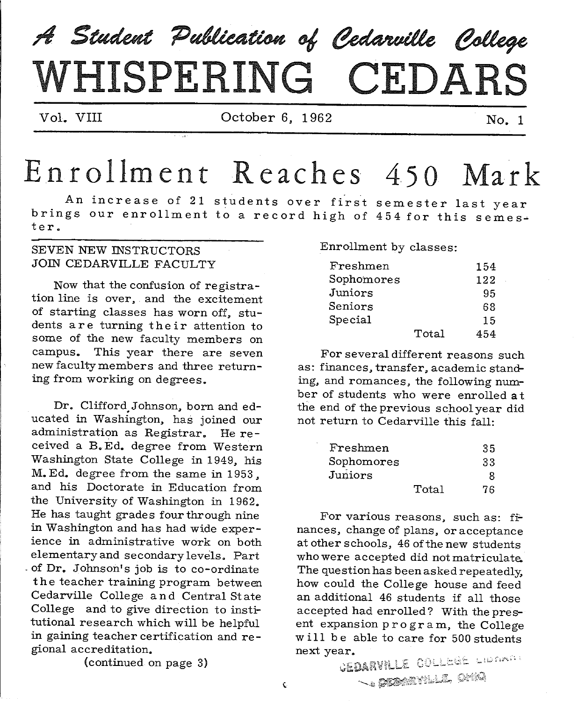# A Student Publication of Cedarville College  $WHI SPERING$   $CEDARS$

Vol. VIII Cotober 6, 1962 No. 1

## Enrollment Reaches 450 Mark

An increase of 21 students over first semester last year brings our enrollment to a record high of 454 for this semester.

 $\hat{\mathbf{v}}$ 

#### SEVEN NEW INSTRUCTORS JOIN CEDARVILLE FACULTY

Now that the confusion of registration line is over. and the excitement of starting classes has worn off, students are turning their attention to some of the new faculty members on campus. This year there are seven new faculty members and three return ing from working on degrees.

Dr. Clifford.Johnson, born and educated in Washington, has joined our administration as Registrar. He received a B.Ed. degree from Western Washington State College in 1949, his M. Ed. degree from the same in 1953 , and his Doctorate in Education from the University of Washington in 1962. He has taught grades four through nine in Washington and has had wide experience in administrative work on both elementary and secondary levels. Part - of Dr. Johnson's job is to co-ordinate the teacher training program between Cedarville College and Central State College and to give direction to institutional research which will be helpful in gaining teacher certification and regional accreditation.

(continued on page 3)

Enrollment by classes:

| $\rm F$ reshmen          |       | 154 |
|--------------------------|-------|-----|
| ${\tt Sphomores}$        |       | 122 |
| Juniors                  |       | 95  |
| $\operatorname{Seniors}$ |       | 68  |
| ${\tt Special}$          |       | 15  |
|                          | Total | 454 |

For several different reasons such as: finances. transfer, academic standing, and romances, the following number of students who were enrolled at the end of the previous school year did not return to Cedarville this fall:

| Freshmen   |       | 35 |
|------------|-------|----|
| Sophomores |       | 33 |
| Juniors    |       |    |
|            | Total | 76 |

For various reasons, such as:  $f\dot{r}$ nances, change of plans, or acceptance at other schools, 46 of the new students who were accepted did not matriculate. The question has been asked repeatedly, how could the College house and feed an additional 46 students if all those accepted had enrolled? With the present expansion program, the College will be able to care for 500 students

next year.<br>GEDARVILLE COLLEGE LIBRARY handische Onig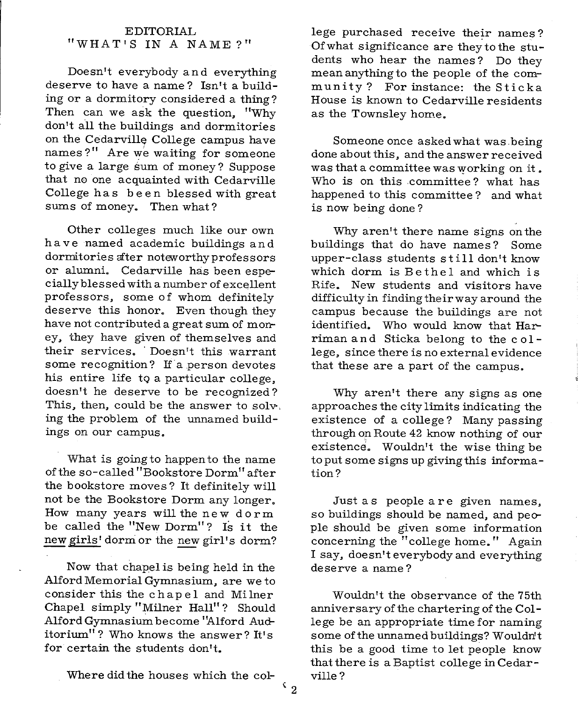#### EDITORIAL "WHAT'S IN A NAME?"

Doesn't everybody and everything deserve to have a name? Isn't a building or a dormitory considered a thing? Then can we ask the question, "Why don't all the buildings and dormitories on the Cedarville College campus have names?" Are we waiting for someone to give a large sum of money? Suppose that no one acquainted with Cedarville College has been blessed with great sums of money. Then what?

Other colleges much like our own have named academic buildings and dormitories after noteworthy professors or alumni. Cedarville has been especially blessed with a number of excellent professors, some of whom definitely deserve this honor. Even though they have not contributed a great sum of money, they have given of themselves and their services. Doesn't this warrant some recognition? If a person devotes his entire life to a particular college, doesn't he deserve to be recognized? This, then, could be the answer to solv, ing the problem of the unnamed buildings on our campus.

What is going to happen to the name of the so-called "Bookstore Dorm" after the bookstore moves? It definitely will not be the Bookstore Dorm any longer. How many years will the new dorm be called the "New Dorm"? Is it the new girls' dorm or the new girl's dorm?

Now that chapel is being held in the Alford Memorial Gymnasium, are we to consider this the ch ape 1 and Milner Chapel simply "Milner Hall"? Should Alford Gymnasium become '!Alford Auditorium"? Who knows the answer? It's for certain the students don't.

Where did the houses which the col-

lege purchased receive their names? Ofwhat significance are theytothe students who hear the names? Do they mean anything to the people of the community ? For instance: the Stick <sup>a</sup> House is known to Cedarville residents as the Townsley home.

Someone once asked what was.being done about this, and the answer received was that a committee was working on it. Who is on this .committee? what has happened to this committee? and what is now being done ?

Why aren't there name signs on the buildings that do have names? Some upper-class students st i 11 don't know which dorm is Bethel and which is Rife. New students and visitors have difficulty in finding their way around the campus because the buildings are not identified. Who would know that Harriman and Sticka belong to the college, since there is no external evidence that these are a part of the campus.

Why aren't there any signs as one approaches the city limits indicating the existence of a college? Many passing through on Route 42 know nothing of our existence. Wouldn't the wise thing be to put some signs up giving this information?

Just as people are given names, so buildings should be named, and people should be given some information concerning the "college home." Again <sup>I</sup>say, doesn't everybody and everything deserve a name?

Wouldn't the observance of the 75th anniversary of the chartering of the College be an appropriate time for naming some of the unnamed buildings? Wouldn't this be a good time to let people know that there is a Baptist college in Cedarville?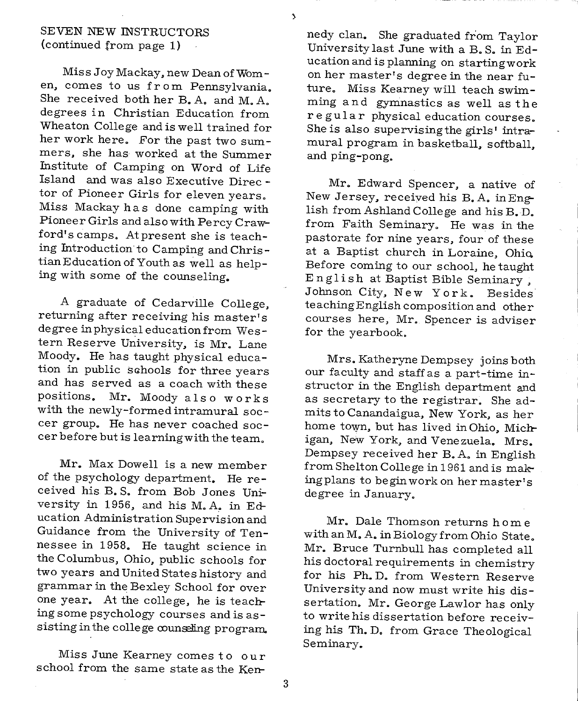#### SEVEN NEW INSTRUCTORS (continued from page 1)

Miss Joy Mackay, new Dean of Women, comes to us fr om Pennsylvania. She received both her B. A. and M. A. degrees in Christian Education from Wheaton College and is well trained for her work here. For the past two summers, she has worked at the Summer Institute of Camping on Word of Life Island and was also Executive Direc tor of Pioneer Girls for eleven years. Miss Mackay ha s done camping with Pioneer Girls and also with Percy Crawford's camps. At present she is teaching Introduction to Camping and Christian Education of Youth as well as helping with some of the counseling.

<sup>A</sup>graduate of Cedarville College, returning after receiving his master's degree in physical education from Western Reserve University, is Mr. Lane Moody. He has taught physical education in public sahools for three years and has served as a coach with these positions. Mr. Moody also works with the newly-formed intramural soccer group. He has never coached soccer before but is learning with the team.

Mr. Max Dowell is a new member of the psychology department. He received his B. S. from Bob Jones University in 1956, and his M.A. in Education Administration Supervision and Guidance from the University of Tennessee in 1958. He taught science in the Columbus, Ohio, public schools for two years and United States history and grammar in the Bexley School for over one year. At the college, he is teaching some psychology courses and is assisting in the college counseling program.

Miss June Kearney comes to our school from the same state as the Kennedy clan. She graduated from Taylor University last June with a B. S. in Education and is planning on starting work on her master's degree in the near future. Miss Kearney will teach swimming and gymnastics as well as the regular physical education courses. She is also supervising the girls' intramural program in basketball, softball, and ping-pong.

Mr. Edward Spencer, a native of New Jersey, received his B.A. in English from Ashland College and his B. D. from Faith Seminary. He was in the pastorate for nine years, four of these at a Baptist church in Loraine, Ohio. Before coming to our school, he taught E n g 1 i sh at Baptist Bible Seminary , Johnson City, New York. Besides teachingEnglish composition and other courses here, Mr. Spencer is adviser for the yearbook.

Mrs. Katheryne Dempsey joins both our faculty and staff as a part-time instructor in the English department and as secretary to the registrar. She admits to Canandaigua, New York, as her home town, but has lived in Ohio, Michigan, New York, and Venezuela. Mrs. Dempsey received her B. A. in English from Shelton College in 1961 and is making plans to begin work on her master's degree in January.

Mr. Dale Thomson returns home with an M. A. in Biology from Ohio State. Mr. Bruce Turnbull has completed all his doctoral requirements in chemistry for his Ph.D. from Western Reserve Universityand now must write his dissertation. Mr. George Lawlor has only to write his dissertation before receiving his Th. D. from Grace Theological Seminary.

3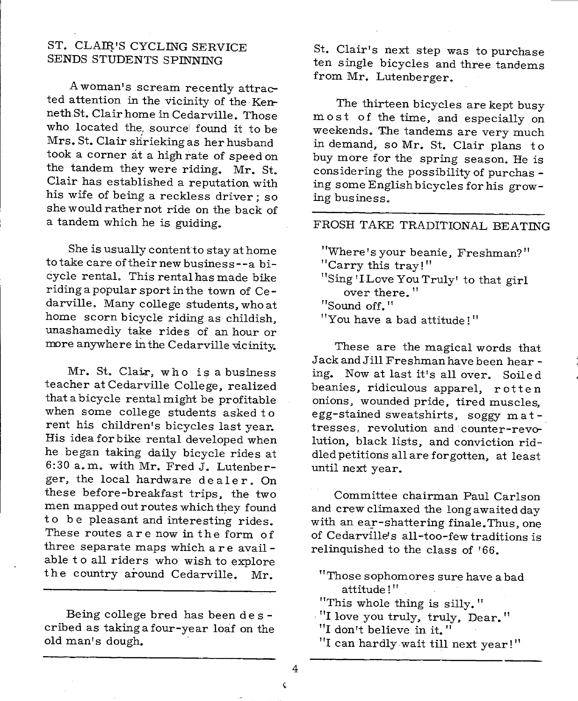#### ST. CLAIR'S CYCLING SERVICE SENDS STUDENTS SPINNING

<sup>A</sup>woman's scream recently attracted attention in the vicinity of the KennethSt. Clair home in Cedarville. Those who located the source found it to be Mrs. St. Clair shrieking as her husband took a corner at a high rate of speed on the tandem they were riding. Mr. St. Clair has established a reputation with his wife of being a reckless driver; so she would rather not ride on the back of a tandem which he is guiding.

She is usually content to stay at home to take care of their new business--a bicycle rental. This rental has made bike riding a popular sport in the town of Ce darville. Many college students, who at home scorn bicycle riding as childish, unashamedly take rides of an hour or more anywhere in the Cedarville vicinity.

Mr. St. Clair, who is a business teacher at Cedarville College, realized that a bicycle rental might be profitable when some college students asked to rent his children's bicycles last year. His idea for bike rental developed when he began taking daily bicycle rides at 6:30 a. m. with Mr. Fred J. Lutenberger, the local hardware dealer. On these before-breakfast trips, the two men mapped out routes which they found to be pleasant and interesting rides. These routes are now in the form of three separate maps which are avail able to all riders who wish to explore the country around Cedarville. Mr.

Being college bred has been de s cribed as taking a four-year loaf on the old man's dough.

St. Clair's next step was to purchase ten single bicycles and three tandems from Mr. Lutenberger.

The thirteen bicycles are kept busy most of the time, and especially on weekends. The tandems are very much in demand, so Mr. St. Clair plans to buy more for the spring season. He is considering the possibility of purchas ing some English bicycles for his growing business.

#### FROSH TAKE TRADITIONAL BEATING

"Where's your beanie, Freshman?" "Carry this tray! " "Sing 'I Love You Truly' to that girl over there." "Sound off." "You have a bad attitude!"

These are the magical words that Jack and Jill Freshman have been hear ing. Now at last it's all over. Soiled beanies, ridiculous apparel, rotten onions, wounded pride, tired muscles, egg-stained sweatshirts, soggy mat tresses, revolution and counter-revolution, black lists, and conviction riddled petitions all are forgotten, at least until next year.

Committee chairman Paul Carlson and crew climaxed the long awaited day with an ear-shattering finale. Thus, one of Cedarville's all-too-few traditions is relinquished to the class of '66.

- "Those sophomores sure have a bad attitude!"
- "This whole thing is silly."
- "I love you truly, truly, Dear."
- "I don't believe in it."
- "I can hardly wait till next year!"

4  $\hat{\mathbf{v}}$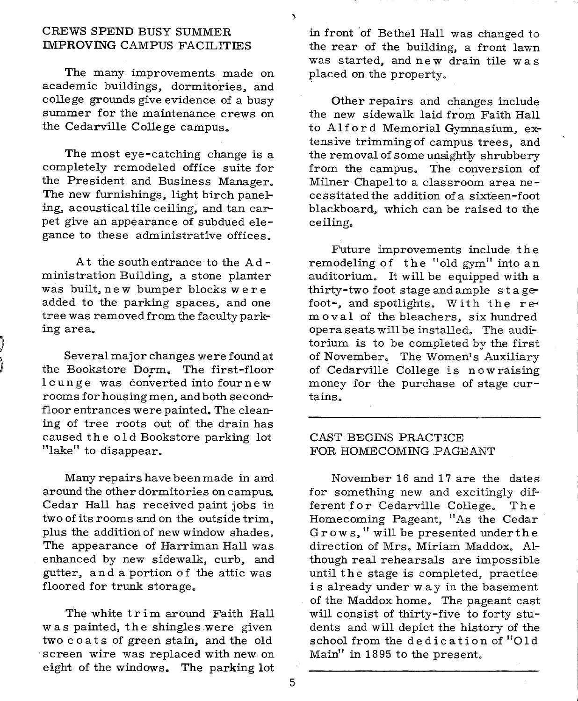#### CREWS SPEND BUSY SUMMER IMPROVING CAMPUS FACILITIES

The many improvements made on academic buildings, dormitories, and college grounds give evidence of a busy summer for the maintenance crews on the Cedarville College campus.

The most eye-catching change is <sup>a</sup> completely remodeled office suite for the President and Business Manager. The new furnishings, light birch paneling, acoustical tile ceiling; and tan carpet give an appearance of subdued elegance to these administrative offices.

At the south entrance·to the Ad ministration Building, a stone planter was built, new bumper blocks were added to the parking spaces, and one tree was removed from the faculty parking area.

Several major changes were found at the Bookstore Dorm. The first-floor lounge was converted into four new rooms for housing men, and both secondfloor entrances were painted. The cleaning of tree roots out of the drain has caused the old Bookstore parking lot "lake" to disappear.

Many repairs have been made in and around the other dormitories on campus. Cedar Hall has received paint jobs in two of its rooms and on the outside trim, plus the addition of new window shades. The appearance of Harriman Hall was enhanced by new sidewalk, curb, and gutter, and a portion of the attic was floored for trunk storage.

The white trim around Faith Hall was painted, the shingles .were given two coats of green stain, and the old screen wire was replaced with new on eight of the windows. The parking lot in front of Bethel Hall was changed to the rear of the building, a front lawn was started, and new drain tile was placed on the property.

Other repairs and changes include the new sidewalk laid from Faith Hall to Alford Memorial Gymnasium, extensive trimming of campus trees, and the removal of some unsightly shrubbery from the campus. The conversion of Milner Chapel to a classroom area necessitated the addition of a sixteen-foot blackboard, which can be raised to the ceiling.

Future improvements include the remodeling of the "old gym" into an auditorium. It will be equipped with <sup>a</sup> thirty-two foot stage and ample stagefoot-, and spotlights. With the removal of the bleachers, six hundred opera seats will be installed. The auditorium is to be completed by the first of November. The Women's Auxiliary of Cedarville College is now raising money for the purchase of stage curtains.

#### CAST BEGINS PRACTICE FOR HOMECOMING PAGEANT

November 16 and 17 are the dates for something new and excitingly different for Cedarville College. The Homecoming Pageant, "As the Cedar Grows," will be presented underthe direction of Mrs. Miriam Maddox. Although real rehearsals are impossible until the stage is completed, practice is already under way in the basement of the Maddox home. The pageant cast will consist of thirty-five to forty students and will depict the history of the school from the dedication of "Old Main" in 1895 to the present.

 $\mathbf{A}$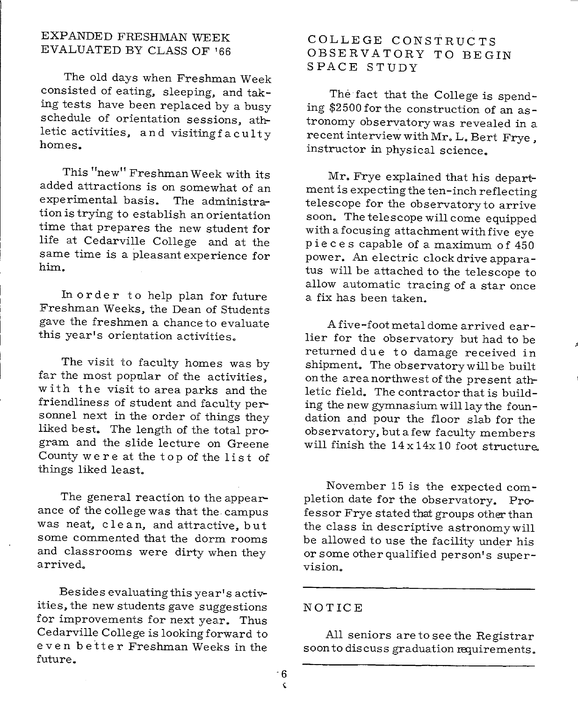#### EXPANDED FRESHMAN WEEK EVALUATED BY CLASS OF '66

The old days when Freshman Week consisted of eating. sleeping, and taking tests have been replaced by a busy schedule of orientation sessions. athletic activities. and visitingfaculty homes.

This "new" Freshman Week with its added attractions is on somewhat of an experimental basis. The administration is trying to establish an orientation time that prepares the new student for life at Cedarville College and at the same time is a pleasant experience for him.

In order to help plan for future Freshman Weeks. the Dean of Students gave the freshmen a chance to evaluate this year's orientation activities.

The visit to faculty homes was by far the most popular of the activities, with the visit to area parks and the friendliness of student and faculty personnel next in the order of things they liked best. The length of the total program and the slide lecture on Greene County were at the top of the list of things liked least.

The general reaction to the appearance of the college was that the. campus was neat, clean, and attractive, but some commented that the dorm rooms and classrooms were dirty when they arrived.

Besides evaluating this year's activities, the new students gave suggestions for improvements for next year. Thus Cedarville College is looking forward to even better Freshman Weeks in the future.

#### COLLEGE CONSTRUCTS OBSERVATORY TO BEGIN SPACE STUDY

The fact that the College is spending \$2500 for the construction of an astronomy observatorywas revealed in <sup>a</sup> recent interview with Mr. L. Bert Frye. instructor in physical science.

Mr. Frye explained that his department is expecting the ten-inch reflecting telescope for the observatoryto arrive soon. The telescope will come equipped with a focusing attachment with five eye pieces capable of a maximum of 450 power. An electric clock drive appara tus will be attached to the telescope to allow automatic tracing of a star once a fix has been taken.

A five-foot metal dome arrived earlier for the observatory but had to be returned due to damage received in shipment. The observatory will be built on the area northwest of the present athletic field. The contractor that is building the new gymnasium will lay the foundation and pour the floor slab for the observatory. but a few faculty members will finish the  $14 \times 14 \times 10$  foot structure.

November 15 is the expected completion date for the observatory. Professor Frye stated that groups other than the class in descriptive astronomywill be allowed to use the facility under his or some other qualified person's supervision.

#### NOTICE

All seniors are to see the Registrar soon to discuss graduation requirements.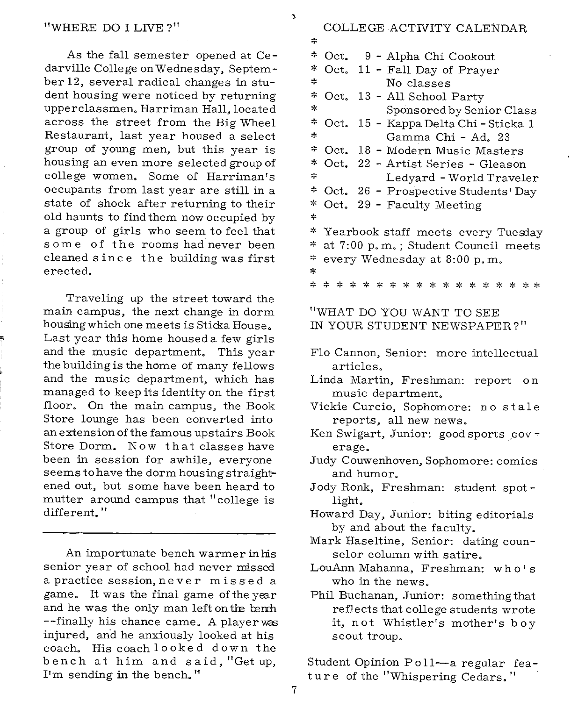As the fall semester opened at Ce darville College on Wednesday, September 12, several radical changes in student housing were noticed by returning upperclassmen. Harriman Hall, located across the street from the Big Wheel Restaurant, last year housed a select group of young men, but this year is housing an even more selected group of college women. Some of Harriman's occupants from last year are still in <sup>a</sup> state of shock after returning to their old haunts to find them now occupied by <sup>a</sup>group of girls who seem to feel that some of the rooms had never been cleaned s inc e the building was first erected.

Traveling up the street toward the main campus, the next change in dorm housing which one meets is Sticka House. Last year this home housed a few girls and the music department. This year the building is the home of many fellows and the music department, which has managed to keep its identity on the first floor. On the main campus, the Book Store lounge has been converted into an extension of the famous upstairs Book Store Dorm. Now that classes have been in session for awhile, everyone seems to have the dorm housing straightened out, but some have been heard to mutter around campus that "college is different. "

An importunate bench warmer in his senior year of school had never missed a practice session, never missed a game. It was the final game of the year and he was the only man left on the bench --finally his chance came. A playerwas injured, and he anxiously looked at his coach. His coach looked down the bench at him and said, "Get up, I'm sending in the bench.''

#### COLLEGE ACTIVITY CALENDAR

 $\overline{\mathbf{3}}$ 

| *                                                       |  |  |
|---------------------------------------------------------|--|--|
| ∗<br>Oct.<br>9 - Alpha Chi Cookout                      |  |  |
| ∗<br>11 - Fall Day of Prayer<br>Oct.                    |  |  |
| ∗<br>No classes                                         |  |  |
| ∗<br>Oct.<br>13 - All School Party                      |  |  |
| ∗<br>Sponsored by Senior Class                          |  |  |
| ∗<br>Oct.<br>15 - Kappa Delta Chi - Sticka 1            |  |  |
| ∗<br>Gamma Chi - Ad. 23                                 |  |  |
| ች<br>Oct.<br>18 - Modern Music Masters                  |  |  |
| ∗<br>Oct.<br>22 - Artist Series - Gleason               |  |  |
| ∗<br>Ledyard - World Traveler                           |  |  |
| *<br>Oct. 26 - Prospective Students' Day                |  |  |
| ∗<br>29 - Faculty Meeting<br>Oct.                       |  |  |
| *                                                       |  |  |
| *<br>Yearbook staff meets every Tuesday                 |  |  |
| ∗<br>at 7:00 p.m.; Student Council meets                |  |  |
| ∗<br>every Wednesday at 8:00 p.m.                       |  |  |
| ∗                                                       |  |  |
| * * * * * * * * * * * * * * * * *<br>∗                  |  |  |
|                                                         |  |  |
| "WHAT DO YOU WANT TO SEE<br>IN YOUR STUDENT NEWSPAPER?" |  |  |
|                                                         |  |  |
| Flo Cannon, Senior: more intellectual                   |  |  |
| articles.                                               |  |  |
| Linda Martin, Freshman: report on                       |  |  |
| music department.                                       |  |  |
| Vickie Curcio, Sophomore: no stale                      |  |  |
| reports, all new news.                                  |  |  |
| Ken Swigart, Junior: good sports cov-                   |  |  |
| erage.                                                  |  |  |
| Judy Couwenhoven, Sophomore: comics                     |  |  |
| and humor.                                              |  |  |
| Jody Ronk, Freshman: student spot-                      |  |  |
| light.                                                  |  |  |
| Howard Day, Junior: biting editorials                   |  |  |
| by and about the faculty.                               |  |  |
| Mark Haseltine, Senior: dating coun-                    |  |  |
| selor column with satire.                               |  |  |
| LouAnn Mahanna, Freshman: who's                         |  |  |
| who in the news.                                        |  |  |
| Phil Buchanan, Junior: something that                   |  |  |
| reflects that college students wrote                    |  |  |
| it, not Whistler's mother's boy                         |  |  |
| scout troup.                                            |  |  |
|                                                         |  |  |

Student Opinion Poll-a regular feature of the "Whispering Cedars."